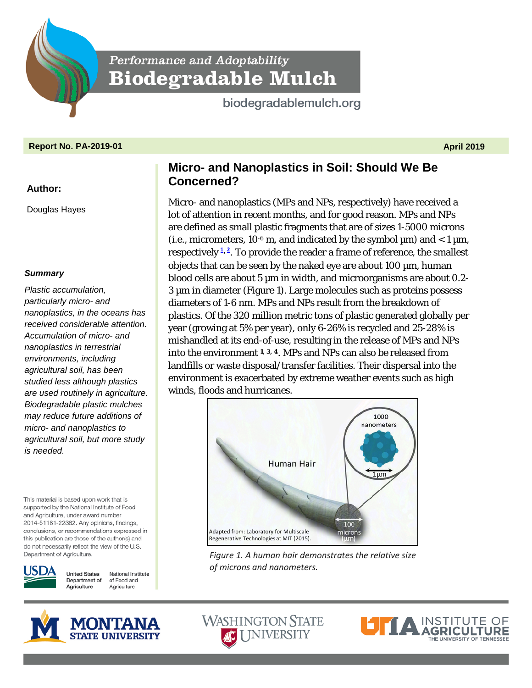Performance and Adoptability **Biodegradable Mulch** 

biodegradablemulch.org

## **Report No. PA-2019-01 April 2019**

### **Author:**

Douglas Hayes

### *Summary*

*Plastic accumulation, particularly micro- and nanoplastics, in the oceans has received considerable attention. Accumulation of micro- and nanoplastics in terrestrial environments, including agricultural soil, has been studied less although plastics are used routinely in agriculture. Biodegradable plastic mulches may reduce future additions of micro- and nanoplastics to agricultural soil, but more study is needed.*

This material is based upon work that is supported by the National Institute of Food and Agriculture, under award number 2014-51181-22382. Any opinions, findings, conclusions, or recommendations expressed in this publication are those of the author(s) and do not necessarily reflect the view of the U.S. Department of Agriculture.



**United States** National Institute Department of of Food and Agriculture Agriculture

# **Micro- and Nanoplastics in Soil: Should We Be Concerned?**

Micro- and nanoplastics (MPs and NPs, respectively) have received a lot of attention in recent months, and for good reason. MPs and NPs are defined as small plastic fragments that are of sizes 1-5000 microns (i.e., micrometers,  $10^{-6}$  m, and indicated by the symbol  $\mu$ m) and < 1  $\mu$ m, respectivel[y](#page-3-0) **<sup>1</sup>, [2](#page-3-1)** . To provide the reader a frame of reference, the smallest objects that can be seen by the naked eye are about 100 µm, human blood cells are about 5 µm in width, and microorganisms are about 0.2-3 µm in diameter (Figure 1). Large molecules such as proteins possess diameters of 1-6 nm. MPs and NPs result from the breakdown of plastics. Of the 320 million metric tons of plastic generated globally per year (growing at 5% per year), only 6-26% is recycled and 25-28% is mishandled at its end-of-use, resulting in the release of MPs and NPs into the environment **[1,](#page-3-0) [3,](#page-3-2) [4](#page-3-3)**. MPs and NPs can also be released from landfills or waste disposal/transfer facilities. Their dispersal into the environment is exacerbated by extreme weather events such as high winds, floods and hurricanes.



*Figure 1. A human hair demonstrates the relative size of microns and nanometers.* 





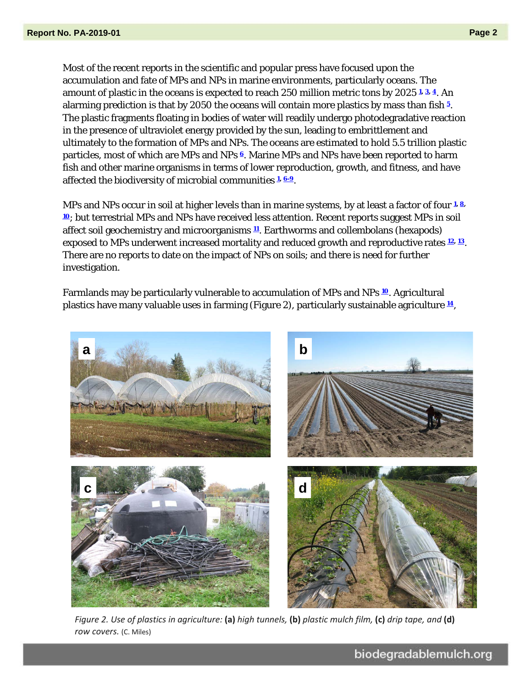Most of the recent reports in the scientific and popular press have focused upon the accumulation and fate of MPs and NPs in marine environments, particularly oceans. The amount of plastic in the oceans is expected to reach 250 million metric tons by 2025 **[1,](#page-3-0) [3,](#page-3-2) [4](#page-3-3)**. An alarming prediction is that by 2050 the oceans will contain more plastics by mass than fish **[5](#page-3-4)**. The plastic fragments floating in bodies of water will readily undergo photodegradative reaction in the presence of ultraviolet energy provided by the sun, leading to embrittlement and ultimately to the formation of MPs and NPs. The oceans are estimated to hold 5.5 trillion plastic particles, most of which are MPs and NPs **[6](#page-4-0)**. Marine MPs and NPs have been reported to harm fish and other marine organisms in terms of lower reproduction, growth, and fitness, and have affected the biodiversity of microbial communities **[1,](#page-3-0) [6-9](#page-4-0)**.

MPs and NPs occur in soil at higher levels than in marine systems, by at least a factor of four **[1,](#page-3-0) [8,](#page-4-1) [10](#page-4-2)**; but terrestrial MPs and NPs have received less attention. Recent reports suggest MPs in soil affect soil geochemistry and microorganisms **[11](#page-4-3)**. Earthworms and collembolans (hexapods) exposed to MPs underwent increased mortality and reduced growth and reproductive rates **[12,](#page-4-4) [13](#page-4-5)**. There are no reports to date on the impact of NPs on soils; and there is need for further investigation.

Farmlands may be particularly vulnerable to accumulation of MPs and NPs **[10](#page-4-2)**. Agricultural plastics have many valuable uses in farming (Figure 2), particularly sustainable agriculture **[14](#page-4-6)**,



*Figure 2. Use of plastics in agriculture:* **(a)** *high tunnels,* **(b)** *plastic mulch film,* **(c)** *drip tape, and* **(d)** *row covers.* (C. Miles)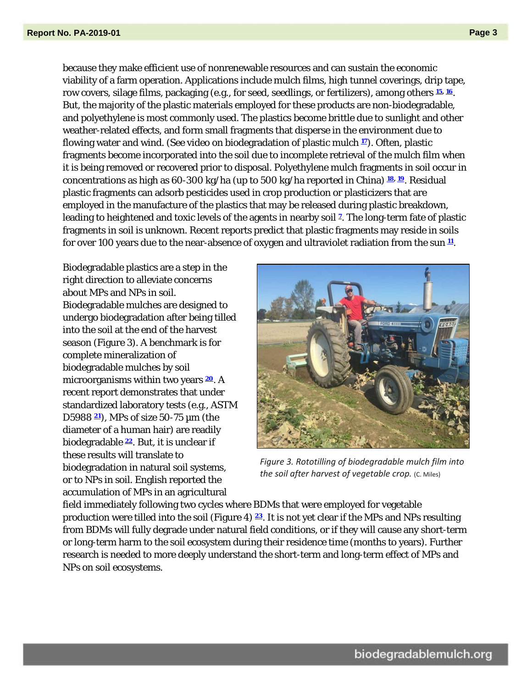because they make efficient use of nonrenewable resources and can sustain the economic viability of a farm operation. Applications include mulch films, high tunnel coverings, drip tape, row covers, silage films, packaging (e.g., for seed, seedlings, or fertilizers), among others **[15,](#page-4-7) [16](#page-4-8)**. But, the majority of the plastic materials employed for these products are non-biodegradable, and polyethylene is most commonly used. The plastics become brittle due to sunlight and other weather-related effects, and form small fragments that disperse in the environment due to flowing water and wind. (See video on biodegradation of plastic mulch **[17](#page-4-9)**). Often, plastic fragments become incorporated into the soil due to incomplete retrieval of the mulch film when it is being removed or recovered prior to disposal. Polyethylene mulch fragments in soil occur in concentrations as high as 60-300 kg/ha (up to 500 kg/ha reported in China) **[18,](#page-4-10) [19](#page-4-11)**. Residual plastic fragments can adsorb pesticides used in crop production or plasticizers that are employed in the manufacture of the plastics that may be released during plastic breakdown, leading to heightened and toxic levels of the agents in nearby soil **[7](#page-4-12)**. The long-term fate of plastic fragments in soil is unknown. Recent reports predict that plastic fragments may reside in soils for over 100 years due to the near-absence of oxygen and ultraviolet radiation from the sun **[11](#page-4-3)**.

Biodegradable plastics are a step in the right direction to alleviate concerns about MPs and NPs in soil. Biodegradable mulches are designed to undergo biodegradation after being tilled into the soil at the end of the harvest season (Figure 3). A benchmark is for complete mineralization of biodegradable mulches by soil microorganisms within two years **[20](#page-5-0)**. A recent report demonstrates that under standardized laboratory tests (e.g., ASTM D5988 **[21](#page-5-1)**), MPs of size 50-75 µm (the diameter of a human hair) are readily biodegradable **[22](#page-5-2)**. But, it is unclear if these results will translate to biodegradation in natural soil systems, or to NPs in soil. English reported the accumulation of MPs in an agricultural



*Figure 3. Rototilling of biodegradable mulch film into the soil after harvest of vegetable crop.* (C. Miles)

field immediately following two cycles where BDMs that were employed for vegetable production were tilled into the soil (Figure 4) **[23](#page-5-3)**. It is not yet clear if the MPs and NPs resulting from BDMs will fully degrade under natural field conditions, or if they will cause any short-term or long-term harm to the soil ecosystem during their residence time (months to years). Further research is needed to more deeply understand the short-term and long-term effect of MPs and NPs on soil ecosystems.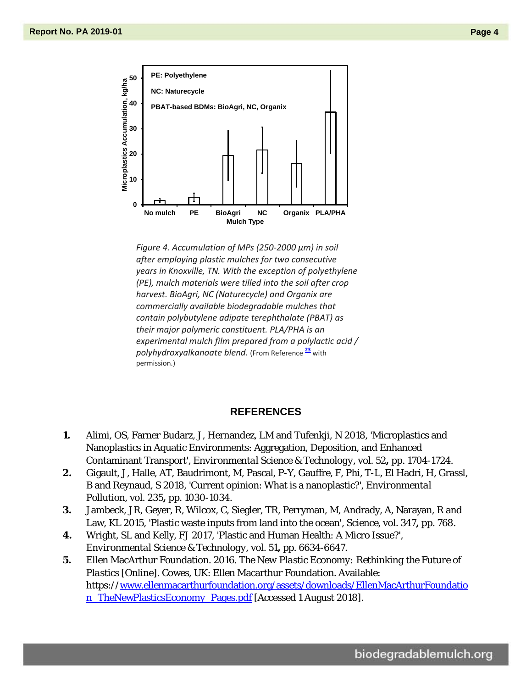

*Figure 4. Accumulation of MPs (250-2000 µm) in soil after employing plastic mulches for two consecutive years in Knoxville, TN. With the exception of polyethylene (PE), mulch materials were tilled into the soil after crop harvest. BioAgri, NC (Naturecycle) and Organix are commercially available biodegradable mulches that contain polybutylene adipate terephthalate (PBAT) as their major polymeric constituent. PLA/PHA is an experimental mulch film prepared from a polylactic acid / polyhydroxyalkanoate blend.* (From Reference **[23](#page-5-3)** with permission.)

### **REFERENCES**

- <span id="page-3-0"></span>**1.** Alimi, OS, Farner Budarz, J, Hernandez, LM and Tufenkji, N 2018, 'Microplastics and Nanoplastics in Aquatic Environments: Aggregation, Deposition, and Enhanced Contaminant Transport', *Environmental Science & Technology,* vol. 52**,** pp. 1704-1724.
- <span id="page-3-1"></span>**2.** Gigault, J, Halle, AT, Baudrimont, M, Pascal, P-Y, Gauffre, F, Phi, T-L, El Hadri, H, Grassl, B and Reynaud, S 2018, 'Current opinion: What is a nanoplastic?', *Environmental Pollution,* vol. 235**,** pp. 1030-1034.
- <span id="page-3-2"></span>**3.** Jambeck, JR, Geyer, R, Wilcox, C, Siegler, TR, Perryman, M, Andrady, A, Narayan, R and Law, KL 2015, 'Plastic waste inputs from land into the ocean', *Science,* vol. 347**,** pp. 768.
- <span id="page-3-3"></span>**4.** Wright, SL and Kelly, FJ 2017, 'Plastic and Human Health: A Micro Issue?', *Environmental Science & Technology,* vol. 51**,** pp. 6634-6647.
- <span id="page-3-4"></span>**5.** Ellen MacArthur Foundation. 2016. *The New Plastic Economy: Rethinking the Future of Plastics* [Online]. Cowes, UK: Ellen Macarthur Foundation. Available: https:/[/www.ellenmacarthurfoundation.org/assets/downloads/EllenMacArthurFoundatio](http://www.ellenmacarthurfoundation.org/assets/downloads/EllenMacArthurFoundation_TheNewPlasticsEconomy_Pages.pdf) [n\\_TheNewPlasticsEconomy\\_Pages.pdf](http://www.ellenmacarthurfoundation.org/assets/downloads/EllenMacArthurFoundation_TheNewPlasticsEconomy_Pages.pdf) [Accessed 1 August 2018].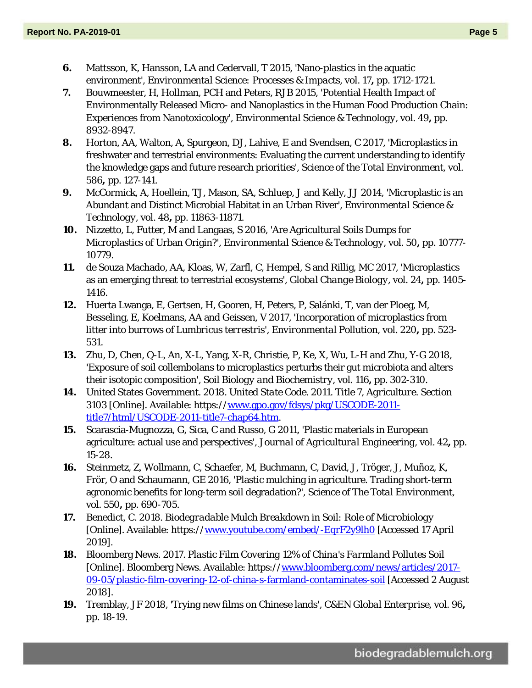- <span id="page-4-0"></span>**6.** Mattsson, K, Hansson, LA and Cedervall, T 2015, 'Nano-plastics in the aquatic environment', *Environmental Science: Processes & Impacts,* vol. 17**,** pp. 1712-1721.
- <span id="page-4-12"></span>**7.** Bouwmeester, H, Hollman, PCH and Peters, RJB 2015, 'Potential Health Impact of Environmentally Released Micro- and Nanoplastics in the Human Food Production Chain: Experiences from Nanotoxicology', *Environmental Science & Technology,* vol. 49**,** pp. 8932-8947.
- <span id="page-4-1"></span>**8.** Horton, AA, Walton, A, Spurgeon, DJ, Lahive, E and Svendsen, C 2017, 'Microplastics in freshwater and terrestrial environments: Evaluating the current understanding to identify the knowledge gaps and future research priorities', *Science of the Total Environment,* vol. 586**,** pp. 127-141.
- **9.** McCormick, A, Hoellein, TJ, Mason, SA, Schluep, J and Kelly, JJ 2014, 'Microplastic is an Abundant and Distinct Microbial Habitat in an Urban River', *Environmental Science & Technology,* vol. 48**,** pp. 11863-11871.
- <span id="page-4-2"></span>**10.** Nizzetto, L, Futter, M and Langaas, S 2016, 'Are Agricultural Soils Dumps for Microplastics of Urban Origin?', *Environmental Science & Technology,* vol. 50**,** pp. 10777- 10779.
- <span id="page-4-3"></span>**11.** de Souza Machado, AA, Kloas, W, Zarfl, C, Hempel, S and Rillig, MC 2017, 'Microplastics as an emerging threat to terrestrial ecosystems', *Global Change Biology,* vol. 24**,** pp. 1405- 1416.
- <span id="page-4-4"></span>**12.** Huerta Lwanga, E, Gertsen, H, Gooren, H, Peters, P, Salánki, T, van der Ploeg, M, Besseling, E, Koelmans, AA and Geissen, V 2017, 'Incorporation of microplastics from litter into burrows of *Lumbricus terrestris*', *Environmental Pollution,* vol. 220**,** pp. 523- 531.
- <span id="page-4-5"></span>**13.** Zhu, D, Chen, Q-L, An, X-L, Yang, X-R, Christie, P, Ke, X, Wu, L-H and Zhu, Y-G 2018, 'Exposure of soil collembolans to microplastics perturbs their gut microbiota and alters their isotopic composition', *Soil Biology and Biochemistry,* vol. 116**,** pp. 302-310.
- <span id="page-4-6"></span>**14.** United States Government. 2018. *United State Code. 2011. Title 7, Agriculture. Section 3103* [Online]. Available: https:/[/www.gpo.gov/fdsys/pkg/USCODE-2011](http://www.gpo.gov/fdsys/pkg/USCODE-2011-title7/html/USCODE-2011-title7-chap64.htm) [title7/html/USCODE-2011-title7-chap64.htm.](http://www.gpo.gov/fdsys/pkg/USCODE-2011-title7/html/USCODE-2011-title7-chap64.htm)
- <span id="page-4-7"></span>**15.** Scarascia-Mugnozza, G, Sica, C and Russo, G 2011, 'Plastic materials in European agriculture: actual use and perspectives', *Journal of Agricultural Engineering,* vol. 42**,** pp. 15-28.
- <span id="page-4-8"></span>**16.** Steinmetz, Z, Wollmann, C, Schaefer, M, Buchmann, C, David, J, Tröger, J, Muñoz, K, Frör, O and Schaumann, GE 2016, 'Plastic mulching in agriculture. Trading short-term agronomic benefits for long-term soil degradation?', *Science of The Total Environment,* vol. 550**,** pp. 690-705.
- <span id="page-4-9"></span>**17.** Benedict, C. 2018. *Biodegradable Mulch Breakdown in Soil: Role of Microbiology*  [Online]. Available: https:/[/www.youtube.com/embed/-EqrF2y9lh0](http://www.youtube.com/embed/-EqrF2y9lh0) [Accessed 17 April 2019].
- <span id="page-4-10"></span>**18.** Bloomberg News. 2017. *Plastic Film Covering 12% of China's Farmland Pollutes Soil*  [Online]. Bloomberg News. Available: https:/[/www.bloomberg.com/news/articles/2017-](http://www.bloomberg.com/news/articles/2017-09-05/plastic-film-covering-12-of-china-s-farmland-contaminates-soil) [09-05/plastic-film-covering-12-of-china-s-farmland-contaminates-soil](http://www.bloomberg.com/news/articles/2017-09-05/plastic-film-covering-12-of-china-s-farmland-contaminates-soil) [Accessed 2 August 2018].
- <span id="page-4-11"></span>**19.** Tremblay, JF 2018, 'Trying new films on Chinese lands', *C&EN Global Enterprise,* vol. 96**,** pp. 18-19.